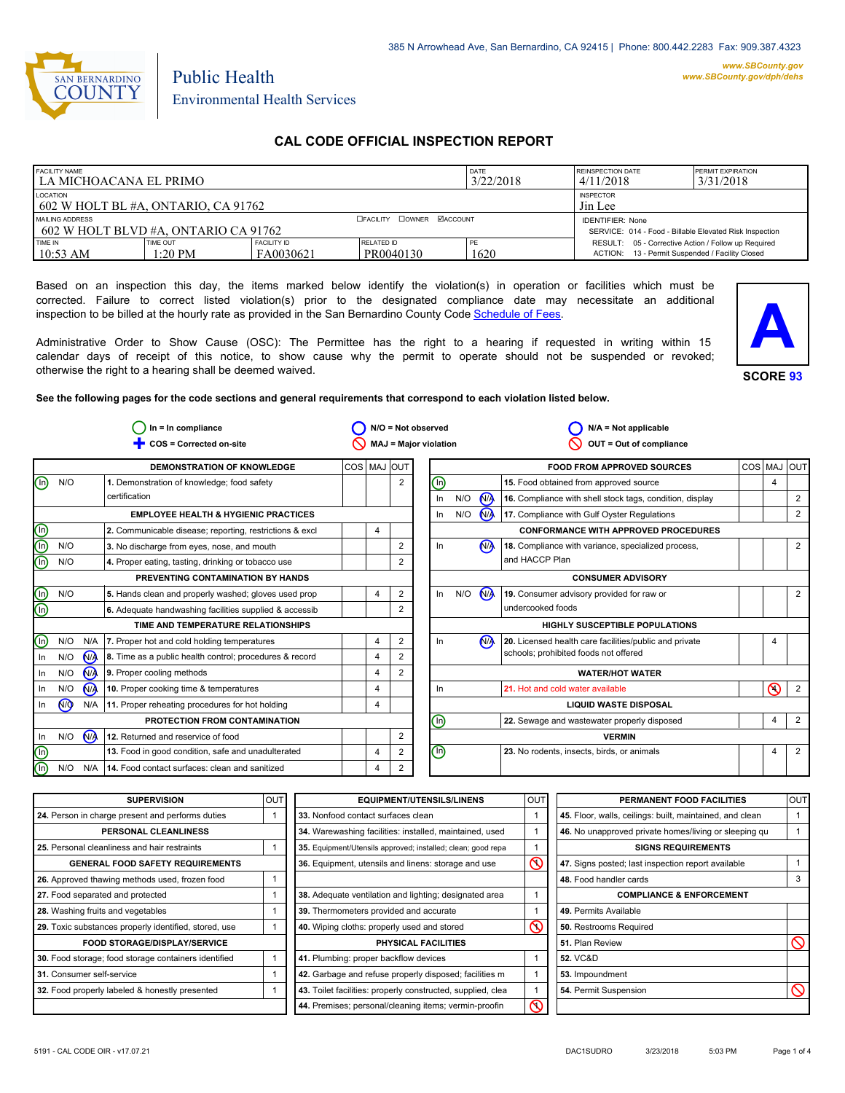

# Public Health Environmental Health Services

# **CAL CODE OFFICIAL INSPECTION REPORT**

| <b>FACILITY NAME</b><br>l la michoacana el primo-         |                     | <b>REINSPECTION DATE</b><br><b>PERMIT EXPIRATION</b><br>3/31/2018<br>4/11/2018     |                         |            |                                                                                                        |  |
|-----------------------------------------------------------|---------------------|------------------------------------------------------------------------------------|-------------------------|------------|--------------------------------------------------------------------------------------------------------|--|
| LOCATION<br>602 W HOLT BL #A. ONTARIO. CA 91762           |                     | <b>INSPECTOR</b><br>Jin Lee                                                        |                         |            |                                                                                                        |  |
| MAILING ADDRESS<br>1 602 W HOLT BLVD #A. ONTARIO CA 91762 |                     | <b>IDENTIFIER: None</b><br>SERVICE: 014 - Food - Billable Elevated Risk Inspection |                         |            |                                                                                                        |  |
| TIME IN<br>$10:53$ AM                                     | TIME OUT<br>1:20 PM | <b>FACILITY ID</b><br>FA0030621                                                    | RELATED ID<br>PR0040130 | PE<br>1620 | RESULT: 05 - Corrective Action / Follow up Required<br>ACTION: 13 - Permit Suspended / Facility Closed |  |

Based on an inspection this day, the items marked below identify the violation(s) in operation or facilities which must be corrected. Failure to correct listed violation(s) prior to the designated compliance date may necessitate an additional inspection to be billed at the hourly rate as provided in the San Bernardino County Code Schedule [of Fees.](http://www.amlegal.com/nxt/gateway.dll/California/sanbernardinocounty_ca/title1governmentandadministration/division6countyfees/chapter2scheduleoffees?f=templates$fn=default.htm$3.0$vid=amlegal:sanbernardinocounty_ca$anc=JD_16.0213B)

Administrative Order to Show Cause (OSC): The Permittee has the right to a hearing if requested in writing within 15 calendar days of receipt of this notice, to show cause why the permit to operate should not be suspended or revoked; otherwise the right to a hearing shall be deemed waived.



**See the following pages for the code sections and general requirements that correspond to each violation listed below.**

| $In = In$ compliance    |            | N/O = Not observed           |                                                         | $N/A = Not applicable$  |                         |                              |     |                      |                                                          |             |   |                |
|-------------------------|------------|------------------------------|---------------------------------------------------------|-------------------------|-------------------------|------------------------------|-----|----------------------|----------------------------------------------------------|-------------|---|----------------|
| COS = Corrected on-site |            | <b>MAJ = Major violation</b> |                                                         | OUT = Out of compliance |                         |                              |     |                      |                                                          |             |   |                |
|                         |            |                              | <b>DEMONSTRATION OF KNOWLEDGE</b>                       | COS MAJ OUT             |                         |                              |     |                      | <b>FOOD FROM APPROVED SOURCES</b>                        | COS MAJ OUT |   |                |
| ⋒                       | N/O        |                              | 1. Demonstration of knowledge; food safety              |                         | $\overline{2}$          | 哂                            |     |                      | 15. Food obtained from approved source                   |             | 4 |                |
|                         |            |                              | certification                                           |                         |                         | In                           | N/O | N <sub>A</sub>       | 16. Compliance with shell stock tags, condition, display |             |   | $\overline{2}$ |
|                         |            |                              | <b>EMPLOYEE HEALTH &amp; HYGIENIC PRACTICES</b>         |                         |                         | In                           | N/O | <b>N<sub>A</sub></b> | 17. Compliance with Gulf Oyster Regulations              |             |   | $\overline{2}$ |
| ee                      |            |                              | 2. Communicable disease; reporting, restrictions & excl | 4                       |                         |                              |     |                      | <b>CONFORMANCE WITH APPROVED PROCEDURES</b>              |             |   |                |
|                         | N/O        |                              | 3. No discharge from eyes, nose, and mouth              |                         | $\overline{\mathbf{c}}$ | In                           |     | N <sub>A</sub>       | 18. Compliance with variance, specialized process,       |             |   | $\overline{2}$ |
|                         | N/O        |                              | 4. Proper eating, tasting, drinking or tobacco use      |                         | 2                       |                              |     |                      | and HACCP Plan                                           |             |   |                |
|                         |            |                              | PREVENTING CONTAMINATION BY HANDS                       |                         |                         | <b>CONSUMER ADVISORY</b>     |     |                      |                                                          |             |   |                |
| ee                      | N/O        |                              | 5. Hands clean and properly washed; gloves used prop    | 4                       | 2                       | In                           | N/O | N <sub>/</sub>       | 19. Consumer advisory provided for raw or                |             |   | $\overline{2}$ |
|                         |            |                              | 6. Adequate handwashing facilities supplied & accessib  |                         | $\overline{2}$          |                              |     |                      | undercooked foods                                        |             |   |                |
|                         |            |                              | TIME AND TEMPERATURE RELATIONSHIPS                      |                         |                         |                              |     |                      | <b>HIGHLY SUSCEPTIBLE POPULATIONS</b>                    |             |   |                |
| $\circledcirc$          | N/O        | N/A                          | 7. Proper hot and cold holding temperatures             | 4                       | $\overline{2}$          | In                           |     | N <sub>A</sub>       | 20. Licensed health care facilities/public and private   |             |   |                |
| In                      | N/O        | N <sub>A</sub>               | 8. Time as a public health control; procedures & record | 4                       | $\overline{2}$          |                              |     |                      | schools; prohibited foods not offered                    |             |   |                |
| ln                      | N/O        | N <sub>A</sub>               | 9. Proper cooling methods                               | 4                       | $\overline{2}$          |                              |     |                      | <b>WATER/HOT WATER</b>                                   |             |   |                |
| In                      | N/O        | N <sub>A</sub>               | 10. Proper cooking time & temperatures                  | 4                       |                         | In                           |     |                      | 21. Hot and cold water available                         |             | ∾ | $\overline{2}$ |
| In                      | $\sqrt{9}$ | N/A                          | 11. Proper reheating procedures for hot holding         | 4                       |                         | <b>LIQUID WASTE DISPOSAL</b> |     |                      |                                                          |             |   |                |
|                         |            |                              | PROTECTION FROM CONTAMINATION                           |                         |                         | ⋒                            |     |                      | 22. Sewage and wastewater properly disposed              |             | 4 | $\overline{2}$ |
| In                      | N/O        | N <sub>/</sub>               | 12. Returned and reservice of food                      |                         | $\overline{\mathbf{c}}$ | <b>VERMIN</b>                |     |                      |                                                          |             |   |                |
| (e)                     |            |                              | 13. Food in good condition, safe and unadulterated      | 4                       | $\overline{2}$          | ⊕                            |     |                      | 23. No rodents, insects, birds, or animals               |             | 4 | $\overline{2}$ |
|                         | N/O        | N/A                          | 14. Food contact surfaces: clean and sanitized          | 4                       | $\overline{2}$          |                              |     |                      |                                                          |             |   |                |

| <b>SUPERVISION</b>                                    | <b>OUTI</b> | <b>EQUIPMENT/UTENSILS/LINENS</b>                             | OUT                            | PERMANENT FOOD FACILITIES                                | <b>OUT</b> |
|-------------------------------------------------------|-------------|--------------------------------------------------------------|--------------------------------|----------------------------------------------------------|------------|
| 24. Person in charge present and performs duties      |             | 33. Nonfood contact surfaces clean                           |                                | 45. Floor, walls, ceilings: built, maintained, and clean |            |
| PERSONAL CLEANLINESS                                  |             | 34. Warewashing facilities: installed, maintained, used      |                                | 46. No unapproved private homes/living or sleeping qu    |            |
| 25. Personal cleanliness and hair restraints          |             | 35. Equipment/Utensils approved; installed; clean; good repa |                                | <b>SIGNS REQUIREMENTS</b>                                |            |
| <b>GENERAL FOOD SAFETY REQUIREMENTS</b>               |             | 36. Equipment, utensils and linens: storage and use          | $\infty$                       | 47. Signs posted; last inspection report available       |            |
| 26. Approved thawing methods used, frozen food        |             |                                                              |                                | 48. Food handler cards                                   |            |
| 27. Food separated and protected                      |             | 38. Adequate ventilation and lighting; designated area       |                                | <b>COMPLIANCE &amp; ENFORCEMENT</b>                      |            |
| 28. Washing fruits and vegetables                     |             | 39. Thermometers provided and accurate                       |                                | 49. Permits Available                                    |            |
| 29. Toxic substances properly identified, stored, use |             | 40. Wiping cloths: properly used and stored                  | $\infty$                       | 50. Restrooms Required                                   |            |
| <b>FOOD STORAGE/DISPLAY/SERVICE</b>                   |             | <b>PHYSICAL FACILITIES</b>                                   |                                | 51. Plan Review                                          |            |
| 30. Food storage; food storage containers identified  |             | 41. Plumbing: proper backflow devices                        |                                | <b>52. VC&amp;D</b>                                      |            |
| 31. Consumer self-service                             |             | 42. Garbage and refuse properly disposed; facilities m       |                                | 53. Impoundment                                          |            |
| 32. Food properly labeled & honestly presented        |             | 43. Toilet facilities: properly constructed, supplied, clea  |                                | 54. Permit Suspension                                    |            |
|                                                       |             | 44. Premises; personal/cleaning items; vermin-proofin        | $\overline{\circlearrowright}$ |                                                          |            |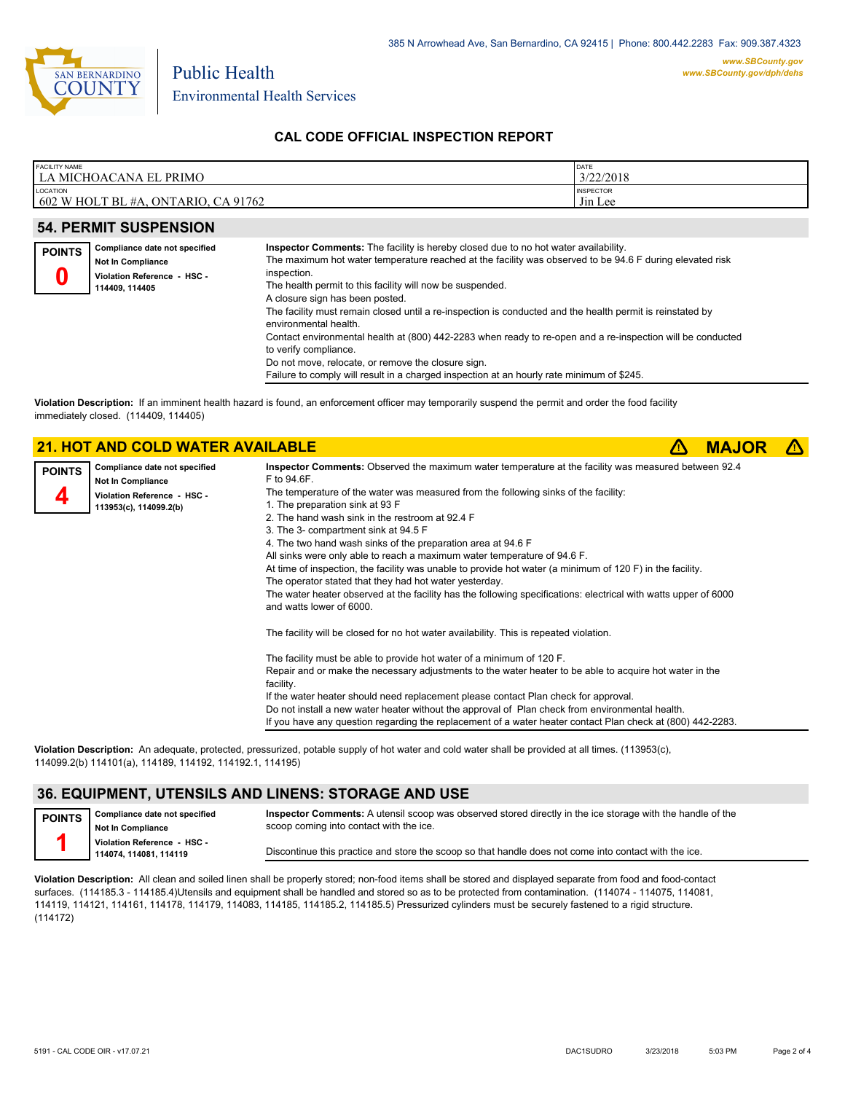

## **CAL CODE OFFICIAL INSPECTION REPORT**

| <b>FACILITY NAME</b><br>l la michoacana el<br>. PRIMO              | DATE<br>3/22/2018           |
|--------------------------------------------------------------------|-----------------------------|
| LOCATION<br>$1602$ W HOLT BL #A.<br>CA 91762<br>ONT<br><b>ARIO</b> | <b>INSPECTOR</b><br>Jin Lee |

### **54. PERMIT SUSPENSION**

| <b>POINTS</b> | Compliance date not specified<br><b>Not In Compliance</b><br>Violation Reference - HSC -<br>114409.114405 | Inspector Comments: The facility is hereby closed due to no hot water availability.<br>The maximum hot water temperature reached at the facility was observed to be 94.6 F during elevated risk<br>inspection.<br>The health permit to this facility will now be suspended.<br>A closure sign has been posted.<br>The facility must remain closed until a re-inspection is conducted and the health permit is reinstated by<br>environmental health.<br>Contact environmental health at (800) 442-2283 when ready to re-open and a re-inspection will be conducted<br>to verify compliance.<br>Do not move, relocate, or remove the closure sign.<br>Failure to comply will result in a charged inspection at an hourly rate minimum of \$245. |
|---------------|-----------------------------------------------------------------------------------------------------------|------------------------------------------------------------------------------------------------------------------------------------------------------------------------------------------------------------------------------------------------------------------------------------------------------------------------------------------------------------------------------------------------------------------------------------------------------------------------------------------------------------------------------------------------------------------------------------------------------------------------------------------------------------------------------------------------------------------------------------------------|
|               |                                                                                                           |                                                                                                                                                                                                                                                                                                                                                                                                                                                                                                                                                                                                                                                                                                                                                |

**Violation Description:** If an imminent health hazard is found, an enforcement officer may temporarily suspend the permit and order the food facility immediately closed. (114409, 114405)

|               | <b>21. HOT AND COLD WATER AVAILABLE</b>            |                                                                                                                                             | <b>MAJOR</b> |  |
|---------------|----------------------------------------------------|---------------------------------------------------------------------------------------------------------------------------------------------|--------------|--|
| <b>POINTS</b> | Compliance date not specified<br>Not In Compliance | Inspector Comments: Observed the maximum water temperature at the facility was measured between 92.4<br>F to 94.6F.                         |              |  |
|               | Violation Reference - HSC -                        | The temperature of the water was measured from the following sinks of the facility:                                                         |              |  |
|               | 113953(c), 114099.2(b)                             | 1. The preparation sink at 93 F                                                                                                             |              |  |
|               |                                                    | 2. The hand wash sink in the restroom at 92.4 F                                                                                             |              |  |
|               |                                                    | 3. The 3- compartment sink at 94.5 F                                                                                                        |              |  |
|               |                                                    | 4. The two hand wash sinks of the preparation area at 94.6 F                                                                                |              |  |
|               |                                                    | All sinks were only able to reach a maximum water temperature of 94.6 F.                                                                    |              |  |
|               |                                                    | At time of inspection, the facility was unable to provide hot water (a minimum of $120 F$ ) in the facility.                                |              |  |
|               |                                                    | The operator stated that they had hot water yesterday.                                                                                      |              |  |
|               |                                                    | The water heater observed at the facility has the following specifications: electrical with watts upper of 6000<br>and watts lower of 6000. |              |  |
|               |                                                    | The facility will be closed for no hot water availability. This is repeated violation.                                                      |              |  |
|               |                                                    | The facility must be able to provide hot water of a minimum of 120 F.                                                                       |              |  |
|               |                                                    | Repair and or make the necessary adjustments to the water heater to be able to acquire hot water in the                                     |              |  |
|               |                                                    | facility.                                                                                                                                   |              |  |
|               |                                                    | If the water heater should need replacement please contact Plan check for approval.                                                         |              |  |
|               |                                                    | Do not install a new water heater without the approval of Plan check from environmental health.                                             |              |  |
|               |                                                    | If you have any question regarding the replacement of a water heater contact Plan check at (800) 442-2283.                                  |              |  |

**Violation Description:** An adequate, protected, pressurized, potable supply of hot water and cold water shall be provided at all times. (113953(c), 114099.2(b) 114101(a), 114189, 114192, 114192.1, 114195)

## **36. EQUIPMENT, UTENSILS AND LINENS: STORAGE AND USE**

**Compliance date not specified POINTS**

**Inspector Comments:** A utensil scoop was observed stored directly in the ice storage with the handle of the scoop coming into contact with the ice.

**Not In Compliance Violation Reference - HSC - 114074, 114081, 114119**

Discontinue this practice and store the scoop so that handle does not come into contact with the ice.

**Violation Description:** All clean and soiled linen shall be properly stored; non-food items shall be stored and displayed separate from food and food-contact surfaces. (114185.3 - 114185.4)Utensils and equipment shall be handled and stored so as to be protected from contamination. (114074 - 114075, 114081, 114119, 114121, 114161, 114178, 114179, 114083, 114185, 114185.2, 114185.5) Pressurized cylinders must be securely fastened to a rigid structure. (114172)

**1**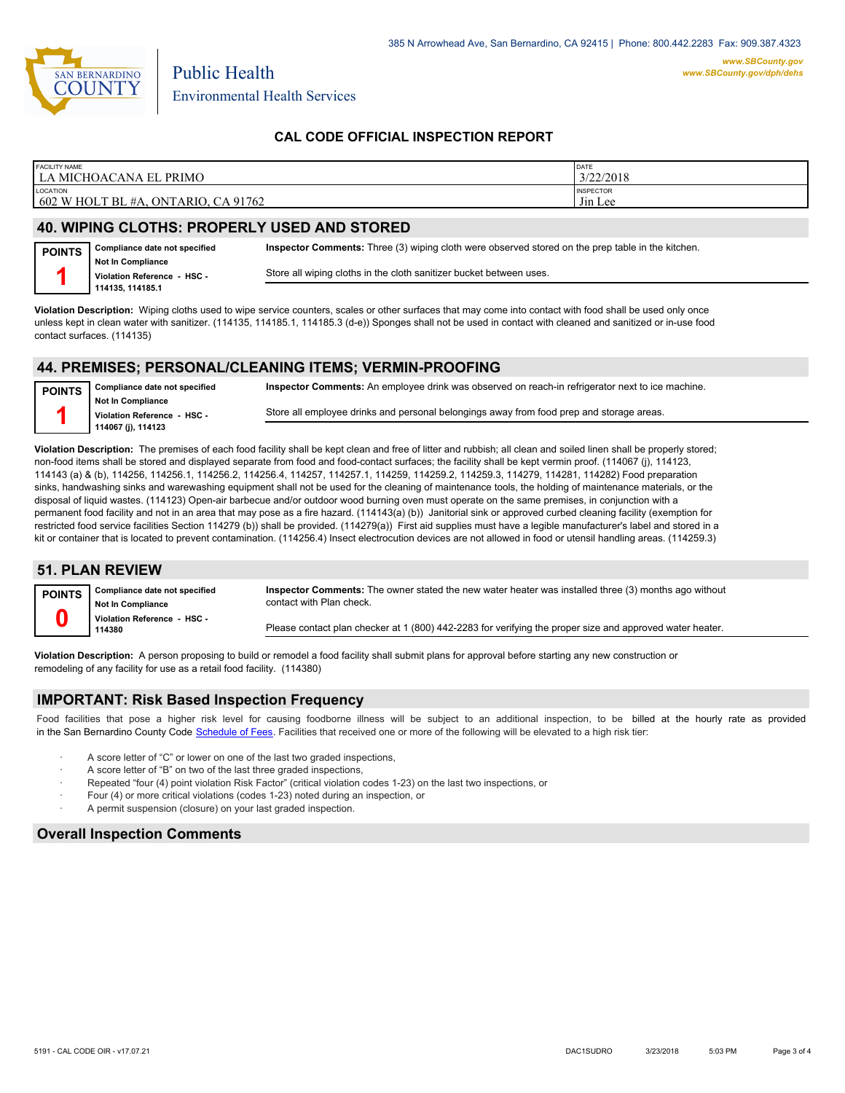

Environmental Health Services

## **CAL CODE OFFICIAL INSPECTION REPORT**

| <b>FACILITY NAME</b><br>LA MICHOACANA EL<br><b>PRIMO</b> | DATE<br>3/22/2018 |
|----------------------------------------------------------|-------------------|
| <b>LOCATION</b>                                          | <b>INSPECTOR</b>  |
| 602 W HOLT BL #A, ONTARIO, CA 91762                      | Jin Lee           |

### **40. WIPING CLOTHS: PROPERLY USED AND STORED**

Public Health

| <b>POINTS</b> | Compliance date not specified                           | Inspector Comments: Three (3) wiping cloth were observed stored on the prep table in the kitchen. |
|---------------|---------------------------------------------------------|---------------------------------------------------------------------------------------------------|
|               | <b>Not In Compliance</b><br>Violation Reference - HSC - | Store all wiping cloths in the cloth sanitizer bucket between uses.                               |
|               | 114135.114185.1                                         |                                                                                                   |

**Violation Description:** Wiping cloths used to wipe service counters, scales or other surfaces that may come into contact with food shall be used only once unless kept in clean water with sanitizer. (114135, 114185.1, 114185.3 (d-e)) Sponges shall not be used in contact with cleaned and sanitized or in-use food contact surfaces. (114135)

#### **44. PREMISES; PERSONAL/CLEANING ITEMS; VERMIN-PROOFING**

**Compliance date not specified Not In Compliance Violation Reference - HSC - 114067 (j), 114123 POINTS 1 Inspector Comments:** An employee drink was observed on reach-in refrigerator next to ice machine. Store all employee drinks and personal belongings away from food prep and storage areas.

**Violation Description:** The premises of each food facility shall be kept clean and free of litter and rubbish; all clean and soiled linen shall be properly stored; non-food items shall be stored and displayed separate from food and food-contact surfaces; the facility shall be kept vermin proof. (114067 (j), 114123, 114143 (a) & (b), 114256, 114256.1, 114256.2, 114256.4, 114257, 114257.1, 114259, 114259.2, 114259.3, 114279, 114281, 114282) Food preparation sinks, handwashing sinks and warewashing equipment shall not be used for the cleaning of maintenance tools, the holding of maintenance materials, or the disposal of liquid wastes. (114123) Open-air barbecue and/or outdoor wood burning oven must operate on the same premises, in conjunction with a permanent food facility and not in an area that may pose as a fire hazard. (114143(a) (b)) Janitorial sink or approved curbed cleaning facility (exemption for restricted food service facilities Section 114279 (b)) shall be provided. (114279(a)) First aid supplies must have a legible manufacturer's label and stored in a kit or container that is located to prevent contamination. (114256.4) Insect electrocution devices are not allowed in food or utensil handling areas. (114259.3)

## **51. PLAN REVIEW**

| <b>POINTS</b> | Compliance date not specified<br><b>Not In Compliance</b> | Inspector Comments: The owner stated the new water heater was installed three (3) months ago without<br>contact with Plan check. |
|---------------|-----------------------------------------------------------|----------------------------------------------------------------------------------------------------------------------------------|
|               | Violation Reference - HSC -<br>114380                     | Please contact plan checker at 1 (800) 442-2283 for verifying the proper size and approved water heater.                         |

**Violation Description:** A person proposing to build or remodel a food facility shall submit plans for approval before starting any new construction or remodeling of any facility for use as a retail food facility. (114380)

#### **IMPORTANT: Risk Based Inspection Frequency**

Food facilities that pose a higher risk level for causing foodborne illness will be subject to an additional inspection, to be billed at the hourly rate as provided in the San Bernardino County Code S[chedule of Fees. Facilitie](http://www.amlegal.com/nxt/gateway.dll/California/sanbernardinocounty_ca/title1governmentandadministration/division6countyfees/chapter2scheduleoffees?f=templates$fn=default.htm$3.0$vid=amlegal:sanbernardinocounty_ca$anc=JD_16.0213B)s that received one or more of the following will be elevated to a high risk tier:

- A score letter of "C" or lower on one of the last two graded inspections,
- A score letter of "B" on two of the last three graded inspections,
- Repeated "four (4) point violation Risk Factor" (critical violation codes 1-23) on the last two inspections, or
- Four (4) or more critical violations (codes 1-23) noted during an inspection, or
- A permit suspension (closure) on your last graded inspection.

#### **Overall Inspection Comments**